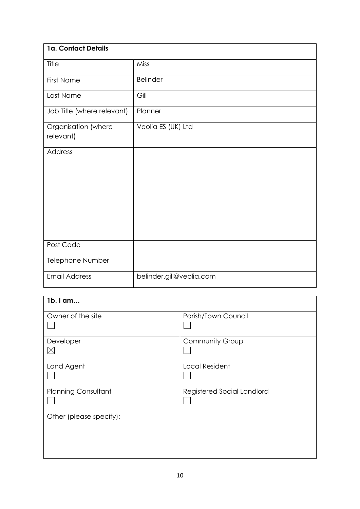| 1a. Contact Details              |                          |
|----------------------------------|--------------------------|
| Title                            | Miss                     |
| <b>First Name</b>                | <b>Belinder</b>          |
| Last Name                        | Gill                     |
| Job Title (where relevant)       | Planner                  |
| Organisation (where<br>relevant) | Veolia ES (UK) Ltd       |
| Address                          |                          |
| Post Code                        |                          |
| Telephone Number                 |                          |
| <b>Email Address</b>             | belinder.gill@veolia.com |

| 1b. I am                   |                            |
|----------------------------|----------------------------|
| Owner of the site          | Parish/Town Council        |
| Developer<br>$\boxtimes$   | Community Group            |
| Land Agent                 | <b>Local Resident</b>      |
| <b>Planning Consultant</b> | Registered Social Landlord |
| Other (please specify):    |                            |
|                            |                            |
|                            |                            |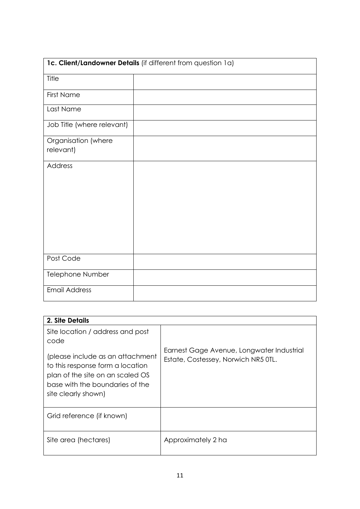|                                  | 1c. Client/Landowner Details (if different from question 1a) |
|----------------------------------|--------------------------------------------------------------|
| Title                            |                                                              |
| <b>First Name</b>                |                                                              |
| Last Name                        |                                                              |
| Job Title (where relevant)       |                                                              |
| Organisation (where<br>relevant) |                                                              |
| Address                          |                                                              |
| Post Code                        |                                                              |
| Telephone Number                 |                                                              |
| <b>Email Address</b>             |                                                              |

| 2. Site Details                                                                                                                                                                                                |                                                                                  |
|----------------------------------------------------------------------------------------------------------------------------------------------------------------------------------------------------------------|----------------------------------------------------------------------------------|
| Site location / address and post<br>code<br>(please include as an attachment<br>to this response form a location<br>plan of the site on an scaled OS<br>base with the boundaries of the<br>site clearly shown) | Earnest Gage Avenue, Longwater Industrial<br>Estate, Costessey, Norwich NR5 OTL. |
| Grid reference (if known)                                                                                                                                                                                      |                                                                                  |
| Site area (hectares)                                                                                                                                                                                           | Approximately 2 ha                                                               |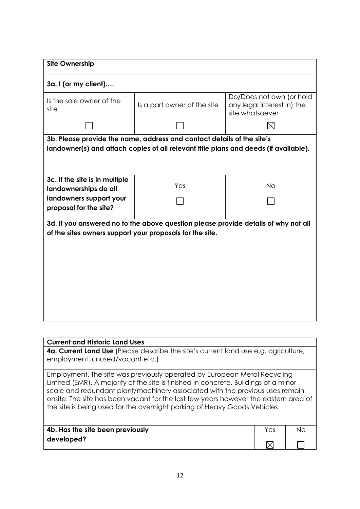| <b>Site Ownership</b>                                    |                                                                                                                                                                |                                                                           |
|----------------------------------------------------------|----------------------------------------------------------------------------------------------------------------------------------------------------------------|---------------------------------------------------------------------------|
| 3a. I (or my client)                                     |                                                                                                                                                                |                                                                           |
| Is the sole owner of the<br>site                         | Is a part owner of the site                                                                                                                                    | Do/Does not own (or hold<br>any legal interest in) the<br>site whatsoever |
|                                                          |                                                                                                                                                                | M                                                                         |
|                                                          | 3b. Please provide the name, address and contact details of the site's<br>landowner(s) and attach copies of all relevant title plans and deeds (if available). |                                                                           |
| 3c. If the site is in multiple<br>landownerships do all  | Yes                                                                                                                                                            | <b>No</b>                                                                 |
| landowners support your<br>proposal for the site?        |                                                                                                                                                                |                                                                           |
| of the sites owners support your proposals for the site. | 3d. If you answered no to the above question please provide details of why not all                                                                             |                                                                           |

## **Current and Historic Land Uses 4a. Current Land Use** (Please describe the site's current land use e.g. agriculture, employment, unused/vacant etc.) Employment. The site was previously operated by European Metal Recycling Limited (EMR). A majority of the site is finished in concrete. Buildings of a minor scale and redundant plant/machinery associated with the previous uses remain onsite. The site has been vacant for the last few years however the eastern area of the site is being used for the overnight parking of Heavy Goods Vehicles. **4b. Has the site been previously**  Yes | No **developed?**  $\boxtimes$  $\Box$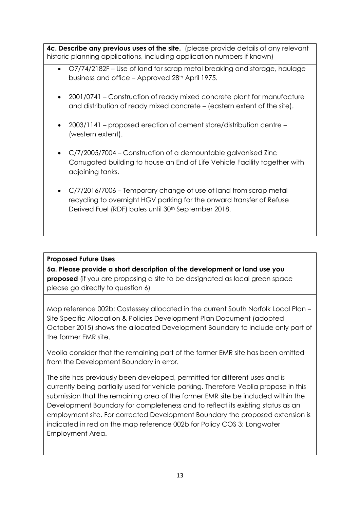**4c. Describe any previous uses of the site.** (please provide details of any relevant historic planning applications, including application numbers if known)

- O7/74/2182F Use of land for scrap metal breaking and storage, haulage business and office – Approved 28<sup>th</sup> April 1975.
- 2001/0741 Construction of ready mixed concrete plant for manufacture and distribution of ready mixed concrete – (eastern extent of the site).
- 2003/1141 proposed erection of cement store/distribution centre (western extent).
- C/7/2005/7004 Construction of a demountable galvanised Zinc Corrugated building to house an End of Life Vehicle Facility together with adjoining tanks.
- C/7/2016/7006 Temporary change of use of land from scrap metal recycling to overnight HGV parking for the onward transfer of Refuse Derived Fuel (RDF) bales until 30<sup>th</sup> September 2018.

## **Proposed Future Uses**

**5a. Please provide a short description of the development or land use you proposed** (if you are proposing a site to be designated as local green space please go directly to question 6)

Map reference 002b: Costessey allocated in the current South Norfolk Local Plan – Site Specific Allocation & Policies Development Plan Document (adopted October 2015) shows the allocated Development Boundary to include only part of the former EMR site.

Veolia consider that the remaining part of the former EMR site has been omitted from the Development Boundary in error.

The site has previously been developed, permitted for different uses and is currently being partially used for vehicle parking. Therefore Veolia propose in this submission that the remaining area of the former EMR site be included within the Development Boundary for completeness and to reflect its existing status as an employment site. For corrected Development Boundary the proposed extension is indicated in red on the map reference 002b for Policy COS 3: Longwater Employment Area.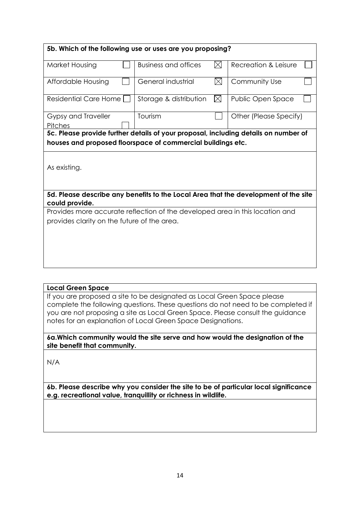|                                             | 5b. Which of the following use or uses are you proposing?                    |                      |                                                                                     |
|---------------------------------------------|------------------------------------------------------------------------------|----------------------|-------------------------------------------------------------------------------------|
| Market Housing                              | <b>Business and offices</b>                                                  | Recreation & Leisure |                                                                                     |
| Affordable Housing                          | General industrial                                                           | $\boxtimes$          | Community Use                                                                       |
| <b>Residential Care Home</b>                | Storage & distribution                                                       | $\boxtimes$          | Public Open Space                                                                   |
| Gypsy and Traveller<br>Pitches              | Tourism                                                                      |                      | Other (Please Specify)                                                              |
| As existing.                                | houses and proposed floorspace of commercial buildings etc.                  |                      | 5c. Please provide further details of your proposal, including details on number of |
|                                             |                                                                              |                      | 5d. Please describe any benefits to the Local Area that the development of the site |
| could provide.                              |                                                                              |                      |                                                                                     |
| provides clarity on the future of the area. | Provides more accurate reflection of the developed area in this location and |                      |                                                                                     |

### **Local Green Space**

If you are proposed a site to be designated as Local Green Space please complete the following questions. These questions do not need to be completed if you are not proposing a site as Local Green Space. Please consult the guidance notes for an explanation of Local Green Space Designations.

#### **6a.Which community would the site serve and how would the designation of the site benefit that community.**

N/A

**6b. Please describe why you consider the site to be of particular local significance e.g. recreational value, tranquillity or richness in wildlife.**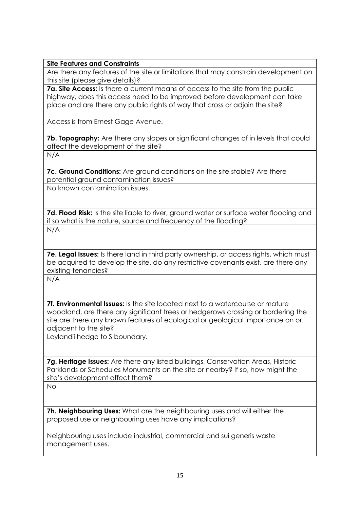#### **Site Features and Constraints**

Are there any features of the site or limitations that may constrain development on this site (please give details)?

**7a. Site Access:** Is there a current means of access to the site from the public highway, does this access need to be improved before development can take place and are there any public rights of way that cross or adjoin the site?

Access is from Ernest Gage Avenue.

**7b. Topography:** Are there any slopes or significant changes of in levels that could affect the development of the site?

N/A

**7c. Ground Conditions:** Are ground conditions on the site stable? Are there potential ground contamination issues?

No known contamination issues.

**7d. Flood Risk:** Is the site liable to river, ground water or surface water flooding and if so what is the nature, source and frequency of the flooding? N/A

**7e. Legal Issues:** Is there land in third party ownership, or access rights, which must be acquired to develop the site, do any restrictive covenants exist, are there any existing tenancies?

N/A

**7f. Environmental Issues:** Is the site located next to a watercourse or mature woodland, are there any significant trees or hedgerows crossing or bordering the site are there any known features of ecological or geological importance on or adjacent to the site?

Leylandii hedge to S boundary.

**7g. Heritage Issues:** Are there any listed buildings, Conservation Areas, Historic Parklands or Schedules Monuments on the site or nearby? If so, how might the site's development affect them?

No

**7h. Neighbouring Uses:** What are the neighbouring uses and will either the proposed use or neighbouring uses have any implications?

Neighbouring uses include industrial, commercial and sui generis waste management uses.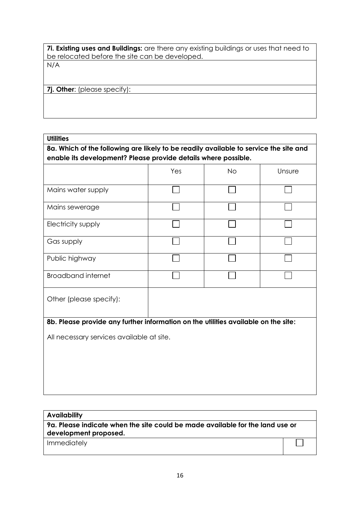**7i. Existing uses and Buildings:** are there any existing buildings or uses that need to be relocated before the site can be developed. N/A

**7j. Other**: (please specify):

**Utilities**

**8a. Which of the following are likely to be readily available to service the site and enable its development? Please provide details where possible.**

|                                                                                    | Yes | <b>No</b> | Unsure |
|------------------------------------------------------------------------------------|-----|-----------|--------|
| Mains water supply                                                                 |     |           |        |
| Mains sewerage                                                                     |     |           |        |
| Electricity supply                                                                 |     |           |        |
| Gas supply                                                                         |     |           |        |
| Public highway                                                                     |     |           |        |
| <b>Broadband internet</b>                                                          |     |           |        |
| Other (please specify):                                                            |     |           |        |
| 8b. Please provide any further information on the utilities available on the site: |     |           |        |
| All necessary services available at site.                                          |     |           |        |
|                                                                                    |     |           |        |
|                                                                                    |     |           |        |

| <b>Availability</b>                                                                                    |  |
|--------------------------------------------------------------------------------------------------------|--|
| 9a. Please indicate when the site could be made available for the land use or<br>development proposed. |  |
|                                                                                                        |  |
| Immediately                                                                                            |  |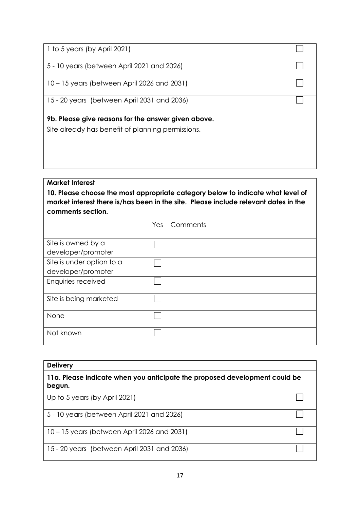| 1 to 5 years (by April 2021)                        |  |
|-----------------------------------------------------|--|
| 5 - 10 years (between April 2021 and 2026)          |  |
| 10 – 15 years (between April 2026 and 2031)         |  |
| 15 - 20 years (between April 2031 and 2036)         |  |
| 9b. Please give reasons for the answer given above. |  |
| Site already has benefit of planning permissions.   |  |

# **Market Interest**

**10. Please choose the most appropriate category below to indicate what level of market interest there is/has been in the site. Please include relevant dates in the comments section.**

|                           | Yes | Comments |
|---------------------------|-----|----------|
|                           |     |          |
| Site is owned by a        |     |          |
| developer/promoter        |     |          |
| Site is under option to a |     |          |
| developer/promoter        |     |          |
| Enquiries received        |     |          |
| Site is being marketed    |     |          |
| None                      |     |          |
| Not known                 |     |          |

| <b>Delivery</b>                                                                      |  |  |
|--------------------------------------------------------------------------------------|--|--|
| 11a. Please indicate when you anticipate the proposed development could be<br>begun. |  |  |
| Up to 5 years (by April 2021)                                                        |  |  |
| 5 - 10 years (between April 2021 and 2026)                                           |  |  |
| 10 – 15 years (between April 2026 and 2031)                                          |  |  |
| 15 - 20 years (between April 2031 and 2036)                                          |  |  |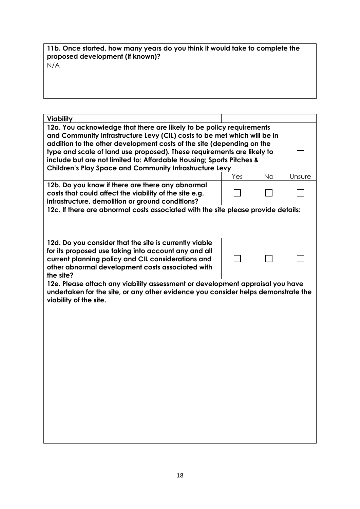| 11b. Once started, how many years do you think it would take to complete the<br>proposed development (if known)? |
|------------------------------------------------------------------------------------------------------------------|
| N/A                                                                                                              |

| <b>Viability</b>                                                                                                                                                                                                                                                                                                                                                                                                                              |     |           |        |  |  |
|-----------------------------------------------------------------------------------------------------------------------------------------------------------------------------------------------------------------------------------------------------------------------------------------------------------------------------------------------------------------------------------------------------------------------------------------------|-----|-----------|--------|--|--|
| 12a. You acknowledge that there are likely to be policy requirements<br>and Community Infrastructure Levy (CIL) costs to be met which will be in<br>addition to the other development costs of the site (depending on the<br>type and scale of land use proposed). These requirements are likely to<br>include but are not limited to: Affordable Housing; Sports Pitches &<br><b>Children's Play Space and Community Infrastructure Levy</b> |     |           |        |  |  |
|                                                                                                                                                                                                                                                                                                                                                                                                                                               | Yes | <b>No</b> | Unsure |  |  |
| 12b. Do you know if there are there any abnormal<br>costs that could affect the viability of the site e.g.<br>infrastructure, demolition or ground conditions?                                                                                                                                                                                                                                                                                |     |           |        |  |  |
| 12c. If there are abnormal costs associated with the site please provide details:                                                                                                                                                                                                                                                                                                                                                             |     |           |        |  |  |
| 12d. Do you consider that the site is currently viable<br>for its proposed use taking into account any and all<br>current planning policy and CIL considerations and<br>other abnormal development costs associated with<br>the site?                                                                                                                                                                                                         |     |           |        |  |  |
| 12e. Please attach any viability assessment or development appraisal you have<br>undertaken for the site, or any other evidence you consider helps demonstrate the<br>viability of the site.                                                                                                                                                                                                                                                  |     |           |        |  |  |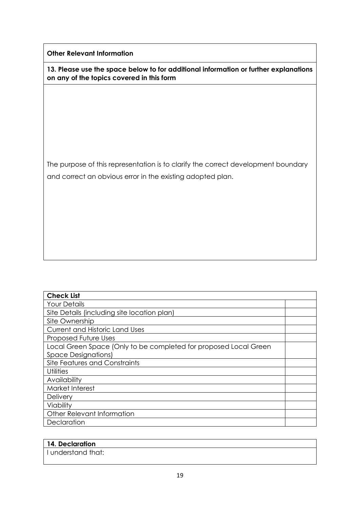**Other Relevant Information**

**13. Please use the space below to for additional information or further explanations on any of the topics covered in this form**

The purpose of this representation is to clarify the correct development boundary and correct an obvious error in the existing adopted plan.

| <b>Check List</b>                                                |  |
|------------------------------------------------------------------|--|
| <b>Your Details</b>                                              |  |
| Site Details (including site location plan)                      |  |
| Site Ownership                                                   |  |
| <b>Current and Historic Land Uses</b>                            |  |
| <b>Proposed Future Uses</b>                                      |  |
| Local Green Space (Only to be completed for proposed Local Green |  |
| <b>Space Designations)</b>                                       |  |
| Site Features and Constraints                                    |  |
| <b>Utilities</b>                                                 |  |
| Availability                                                     |  |
| Market Interest                                                  |  |
| <b>Delivery</b>                                                  |  |
| Viability                                                        |  |
| Other Relevant Information                                       |  |
| Declaration                                                      |  |

| 14. Declaration    |  |
|--------------------|--|
| I understand that: |  |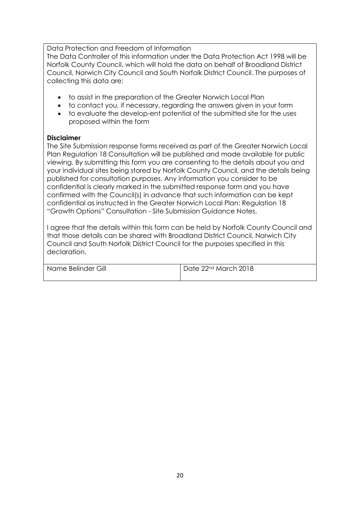Data Protection and Freedom of Information

The Data Controller of this information under the Data Protection Act 1998 will be Norfolk County Council, which will hold the data on behalf of Broadland District Council, Norwich City Council and South Norfolk District Council. The purposes of collecting this data are:

- to assist in the preparation of the Greater Norwich Local Plan
- to contact you, if necessary, regarding the answers given in your form
- to evaluate the develop-ent potential of the submitted site for the uses proposed within the form

#### **Disclaimer**

The Site Submission response forms received as part of the Greater Norwich Local Plan Regulation 18 Consultation will be published and made available for public viewing. By submitting this form you are consenting to the details about you and your individual sites being stored by Norfolk County Council, and the details being published for consultation purposes. Any information you consider to be confidential is clearly marked in the submitted response form and you have confirmed with the Council(s) in advance that such information can be kept confidential as instructed in the Greater Norwich Local Plan: Regulation 18 "Growth Options" Consultation - Site Submission Guidance Notes.

I agree that the details within this form can be held by Norfolk County Council and that those details can be shared with Broadland District Council, Norwich City Council and South Norfolk District Council for the purposes specified in this declaration.

| Name Belinder Gill | Date 22nd March 2018 |
|--------------------|----------------------|
|                    |                      |